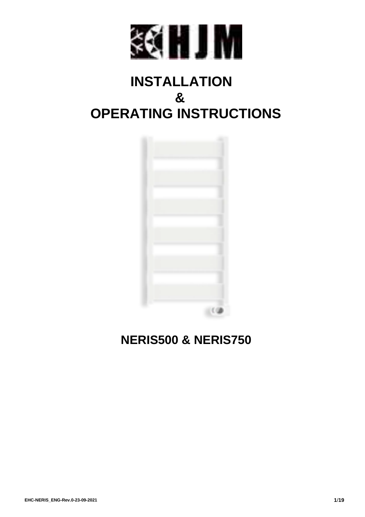

# **INSTALLATION & OPERATING INSTRUCTIONS**



## **NERIS500 & NERIS750**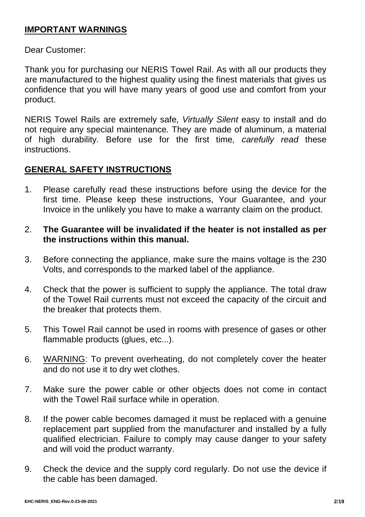### **IMPORTANT WARNINGS**

Dear Customer:

Thank you for purchasing our NERIS Towel Rail. As with all our products they are manufactured to the highest quality using the finest materials that gives us confidence that you will have many years of good use and comfort from your product.

NERIS Towel Rails are extremely safe*, Virtually Silent* easy to install and do not require any special maintenance*.* They are made of aluminum, a material of high durability*.* Before use for the first time*, carefully read* these instructions.

## **GENERAL SAFETY INSTRUCTIONS**

- 1. Please carefully read these instructions before using the device for the first time. Please keep these instructions, Your Guarantee, and your Invoice in the unlikely you have to make a warranty claim on the product.
- 2. **The Guarantee will be invalidated if the heater is not installed as per the instructions within this manual.**
- 3. Before connecting the appliance, make sure the mains voltage is the 230 Volts, and corresponds to the marked label of the appliance.
- 4. Check that the power is sufficient to supply the appliance. The total draw of the Towel Rail currents must not exceed the capacity of the circuit and the breaker that protects them.
- 5. This Towel Rail cannot be used in rooms with presence of gases or other flammable products (glues, etc...).
- 6. WARNING: To prevent overheating, do not completely cover the heater and do not use it to dry wet clothes.
- 7. Make sure the power cable or other objects does not come in contact with the Towel Rail surface while in operation.
- 8. If the power cable becomes damaged it must be replaced with a genuine replacement part supplied from the manufacturer and installed by a fully qualified electrician. Failure to comply may cause danger to your safety and will void the product warranty.
- 9. Check the device and the supply cord regularly. Do not use the device if the cable has been damaged.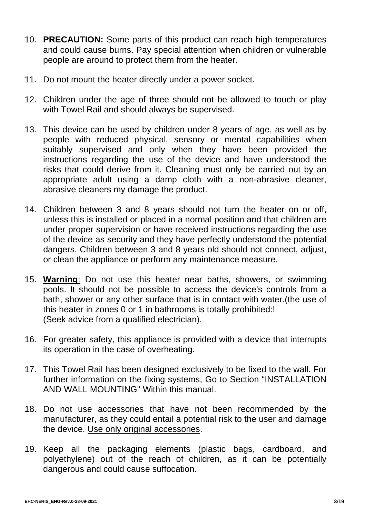- 10. **PRECAUTION:** Some parts of this product can reach high temperatures and could cause burns. Pay special attention when children or vulnerable people are around to protect them from the heater.
- 11. Do not mount the heater directly under a power socket.
- 12. Children under the age of three should not be allowed to touch or play with Towel Rail and should always be supervised.
- 13. This device can be used by children under 8 years of age, as well as by people with reduced physical, sensory or mental capabilities when suitably supervised and only when they have been provided the instructions regarding the use of the device and have understood the risks that could derive from it. Cleaning must only be carried out by an appropriate adult using a damp cloth with a non-abrasive cleaner, abrasive cleaners my damage the product.
- 14. Children between 3 and 8 years should not turn the heater on or off, unless this is installed or placed in a normal position and that children are under proper supervision or have received instructions regarding the use of the device as security and they have perfectly understood the potential dangers. Children between 3 and 8 years old should not connect, adjust, or clean the appliance or perform any maintenance measure.
- 15. **Warning**: Do not use this heater near baths, showers, or swimming pools. It should not be possible to access the device's controls from a bath, shower or any other surface that is in contact with water.(the use of this heater in zones 0 or 1 in bathrooms is totally prohibited:! (Seek advice from a qualified electrician).
- 16. For greater safety, this appliance is provided with a device that interrupts its operation in the case of overheating.
- 17. This Towel Rail has been designed exclusively to be fixed to the wall. For further information on the fixing systems, Go to Section "INSTALLATION AND WALL MOUNTING" Within this manual.
- 18. Do not use accessories that have not been recommended by the manufacturer, as they could entail a potential risk to the user and damage the device. Use only original accessories.
- 19. Keep all the packaging elements (plastic bags, cardboard, and polyethylene) out of the reach of children, as it can be potentially dangerous and could cause suffocation.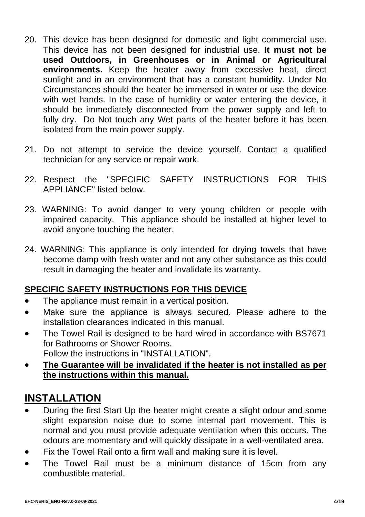- 20. This device has been designed for domestic and light commercial use. This device has not been designed for industrial use. **It must not be used Outdoors, in Greenhouses or in Animal or Agricultural environments.** Keep the heater away from excessive heat, direct sunlight and in an environment that has a constant humidity. Under No Circumstances should the heater be immersed in water or use the device with wet hands. In the case of humidity or water entering the device, it should be immediately disconnected from the power supply and left to fully dry. Do Not touch any Wet parts of the heater before it has been isolated from the main power supply.
- 21. Do not attempt to service the device yourself. Contact a qualified technician for any service or repair work.
- 22. Respect the "SPECIFIC SAFETY INSTRUCTIONS FOR THIS APPLIANCE" listed below.
- 23. WARNING: To avoid danger to very young children or people with impaired capacity. This appliance should be installed at higher level to avoid anyone touching the heater.
- 24. WARNING: This appliance is only intended for drying towels that have become damp with fresh water and not any other substance as this could result in damaging the heater and invalidate its warranty.

## **SPECIFIC SAFETY INSTRUCTIONS FOR THIS DEVICE**

- The appliance must remain in a vertical position.
- Make sure the appliance is always secured. Please adhere to the installation clearances indicated in this manual.
- The Towel Rail is designed to be hard wired in accordance with BS7671 for Bathrooms or Shower Rooms. Follow the instructions in "INSTALLATION".
- **The Guarantee will be invalidated if the heater is not installed as per the instructions within this manual.**

## **INSTALLATION**

- During the first Start Up the heater might create a slight odour and some slight expansion noise due to some internal part movement. This is normal and you must provide adequate ventilation when this occurs. The odours are momentary and will quickly dissipate in a well-ventilated area.
- Fix the Towel Rail onto a firm wall and making sure it is level.
- The Towel Rail must be a minimum distance of 15cm from any combustible material.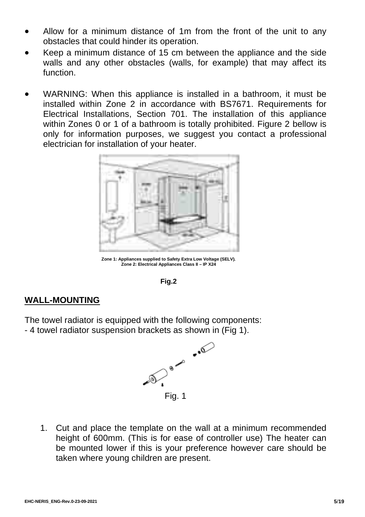- Allow for a minimum distance of 1m from the front of the unit to any obstacles that could hinder its operation.
- Keep a minimum distance of 15 cm between the appliance and the side walls and any other obstacles (walls, for example) that may affect its function.
- WARNING: When this appliance is installed in a bathroom, it must be installed within Zone 2 in accordance with BS7671. Requirements for Electrical Installations, Section 701. The installation of this appliance within Zones 0 or 1 of a bathroom is totally prohibited. Figure 2 bellow is only for information purposes, we suggest you contact a professional electrician for installation of your heater.



**Zone 1: Appliances supplied to Safety Extra Low Voltage (SELV). Zone 2: Electrical Appliances Class II – IP X24** 



### **WALL-MOUNTING**

The towel radiator is equipped with the following components:

- 4 towel radiator suspension brackets as shown in (Fig 1).



1. Cut and place the template on the wall at a minimum recommended height of 600mm. (This is for ease of controller use) The heater can be mounted lower if this is your preference however care should be taken where young children are present.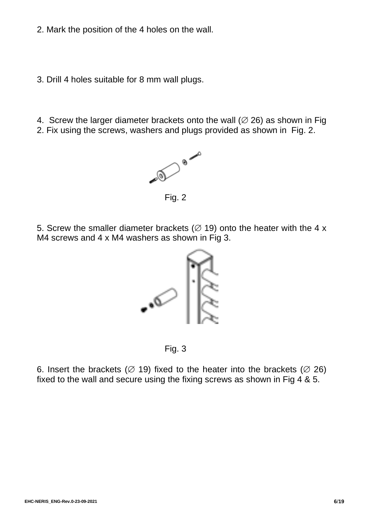- 2. Mark the position of the 4 holes on the wall.
- 3. Drill 4 holes suitable for 8 mm wall plugs.
- 4. Screw the larger diameter brackets onto the wall  $(Ø 26)$  as shown in Fig.
- 2. Fix using the screws, washers and plugs provided as shown in Fig. 2.



5. Screw the smaller diameter brackets ( $\varnothing$  19) onto the heater with the 4 x M4 screws and 4 x M4 washers as shown in Fig 3.



Fig. 3

6. Insert the brackets ( $\varnothing$  19) fixed to the heater into the brackets ( $\varnothing$  26) fixed to the wall and secure using the fixing screws as shown in Fig  $\overline{4}$  & 5.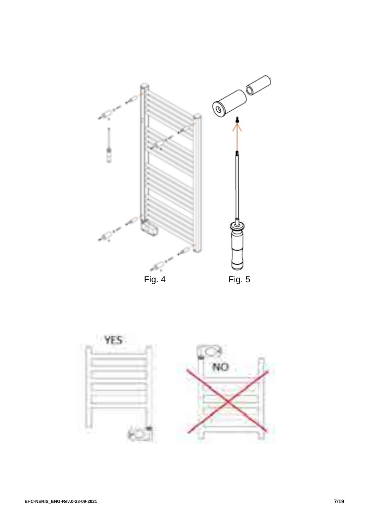

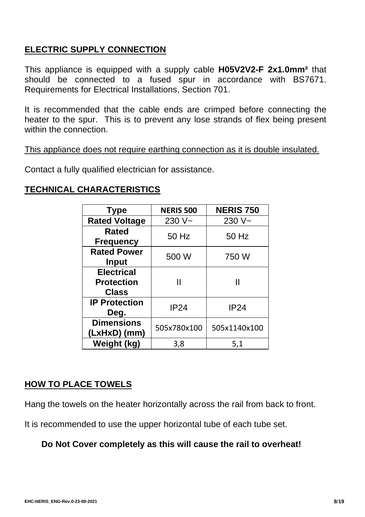## **ELECTRIC SUPPLY CONNECTION**

This appliance is equipped with a supply cable **H05V2V2-F 2x1.0mm²** that should be connected to a fused spur in accordance with BS7671. Requirements for Electrical Installations, Section 701.

It is recommended that the cable ends are crimped before connecting the heater to the spur. This is to prevent any lose strands of flex being present within the connection.

This appliance does not require earthing connection as it is double insulated.

Contact a fully qualified electrician for assistance.

## **TECHNICAL CHARACTERISTICS**

| <b>Type</b>                                     | <b>NERIS 500</b> | <b>NERIS 750</b> |
|-------------------------------------------------|------------------|------------------|
| <b>Rated Voltage</b>                            | 230 V~           | $230V -$         |
| Rated<br><b>Frequency</b>                       | 50 Hz            | 50 Hz            |
| <b>Rated Power</b><br><b>Input</b>              | 500 W            | 750 W            |
| <b>Electrical</b><br><b>Protection</b><br>Class | Ш                |                  |
| <b>IP Protection</b><br>Deg.                    | <b>IP24</b>      | <b>IP24</b>      |
| <b>Dimensions</b><br>(LxHxD) (mm)               | 505x780x100      | 505x1140x100     |
| Weight (kg)                                     | 3,8              | 5,1              |

### **HOW TO PLACE TOWELS**

Hang the towels on the heater horizontally across the rail from back to front.

It is recommended to use the upper horizontal tube of each tube set.

### **Do Not Cover completely as this will cause the rail to overheat!**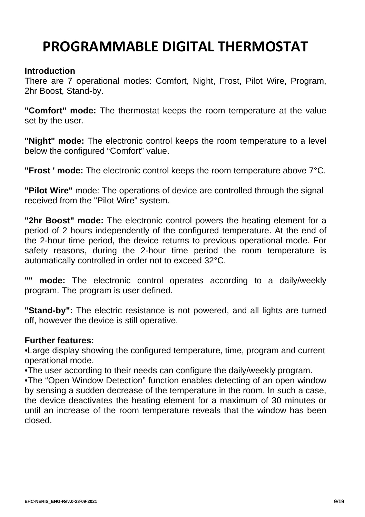# **PROGRAMMABLE DIGITAL THERMOSTAT**

#### **Introduction**

There are 7 operational modes: Comfort, Night, Frost, Pilot Wire, Program, 2hr Boost, Stand-by.

**"Comfort" mode:** The thermostat keeps the room temperature at the value set by the user.

**"Night" mode:** The electronic control keeps the room temperature to a level below the configured "Comfort" value.

**"Frost ' mode:** The electronic control keeps the room temperature above 7°C.

**"Pilot Wire"** mode: The operations of device are controlled through the signal received from the "Pilot Wire" system.

**"2hr Boost" mode:** The electronic control powers the heating element for a period of 2 hours independently of the configured temperature. At the end of the 2-hour time period, the device returns to previous operational mode. For safety reasons, during the 2-hour time period the room temperature is automatically controlled in order not to exceed 32°C.

**"" mode:** The electronic control operates according to a daily/weekly program. The program is user defined.

**"Stand-by":** The electric resistance is not powered, and all lights are turned off, however the device is still operative.

#### **Further features:**

•Large display showing the configured temperature, time, program and current operational mode.

•The user according to their needs can configure the daily/weekly program.

•The "Open Window Detection" function enables detecting of an open window by sensing a sudden decrease of the temperature in the room. In such a case, the device deactivates the heating element for a maximum of 30 minutes or until an increase of the room temperature reveals that the window has been closed.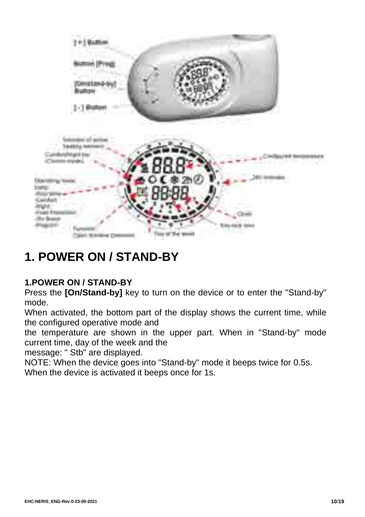

# **1. POWER ON / STAND-BY**

## **1.POWER ON / STAND-BY**

Press the **[On/Stand-by]** key to turn on the device or to enter the "Stand-by" mode.

When activated, the bottom part of the display shows the current time, while the configured operative mode and

the temperature are shown in the upper part. When in "Stand-by" mode current time, day of the week and the

message: " Stb" are displayed.

NOTE: When the device goes into "Stand-by" mode it beeps twice for 0.5s. When the device is activated it beeps once for 1s.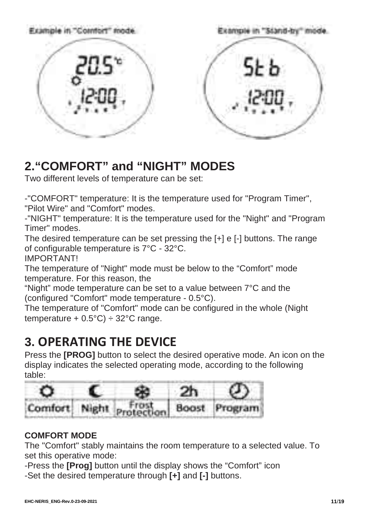

# **2."COMFORT" and "NIGHT" MODES**

Two different levels of temperature can be set:

-"COMFORT" temperature: It is the temperature used for "Program Timer",

"Pilot Wire" and "Comfort" modes.

-"NIGHT" temperature: It is the temperature used for the "Night" and "Program Timer" modes.

The desired temperature can be set pressing the [+] e [-] buttons. The range of configurable temperature is 7°C - 32°C. IMPORTANT!

The temperature of "Night" mode must be below to the "Comfort" mode temperature. For this reason, the

"Night" mode temperature can be set to a value between 7°C and the (configured "Comfort" mode temperature - 0.5°C).

The temperature of "Comfort" mode can be configured in the whole (Night temperature  $+ 0.5^{\circ}$ C)  $\div$  32 $^{\circ}$ C range.

# **3. OPERATING THE DEVICE**

Press the **[PROG]** button to select the desired operative mode. An icon on the display indicates the selected operating mode, according to the following table:



## **COMFORT MODE**

The "Comfort" stably maintains the room temperature to a selected value. To set this operative mode:

-Press the **[Prog]** button until the display shows the "Comfort" icon -Set the desired temperature through **[+]** and **[-]** buttons.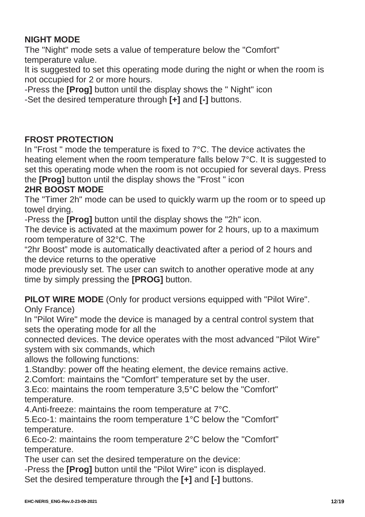## **NIGHT MODE**

The "Night" mode sets a value of temperature below the "Comfort" temperature value.

It is suggested to set this operating mode during the night or when the room is not occupied for 2 or more hours.

-Press the **[Prog]** button until the display shows the " Night" icon

-Set the desired temperature through **[+]** and **[-]** buttons.

### **FROST PROTECTION**

In "Frost " mode the temperature is fixed to 7°C. The device activates the heating element when the room temperature falls below 7<sup>°</sup>C. It is suggested to set this operating mode when the room is not occupied for several days. Press the **[Prog]** button until the display shows the "Frost " icon

## **2HR BOOST MODE**

The "Timer 2h" mode can be used to quickly warm up the room or to speed up towel drying.

-Press the **[Prog]** button until the display shows the "2h" icon.

The device is activated at the maximum power for 2 hours, up to a maximum room temperature of 32°C. The

"2hr Boost" mode is automatically deactivated after a period of 2 hours and the device returns to the operative

mode previously set. The user can switch to another operative mode at any time by simply pressing the **[PROG]** button.

**PILOT WIRE MODE** (Only for product versions equipped with "Pilot Wire". Only France)

In "Pilot Wire" mode the device is managed by a central control system that sets the operating mode for all the

connected devices. The device operates with the most advanced "Pilot Wire" system with six commands, which

allows the following functions:

1.Standby: power off the heating element, the device remains active.

2.Comfort: maintains the "Comfort" temperature set by the user.

3.Eco: maintains the room temperature 3,5°C below the "Comfort" temperature.

4.Anti-freeze: maintains the room temperature at 7°C.

5.Eco-1: maintains the room temperature 1°C below the "Comfort" temperature.

6.Eco-2: maintains the room temperature 2°C below the "Comfort" temperature.

The user can set the desired temperature on the device:

-Press the **[Prog]** button until the "Pilot Wire" icon is displayed.

Set the desired temperature through the **[+]** and **[-]** buttons.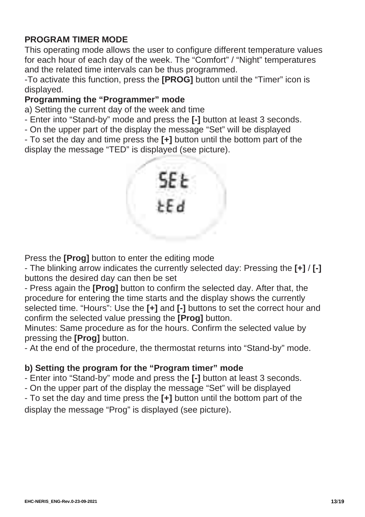## **PROGRAM TIMER MODE**

This operating mode allows the user to configure different temperature values for each hour of each day of the week. The "Comfort" / "Night" temperatures and the related time intervals can be thus programmed.

-To activate this function, press the **[PROG]** button until the "Timer" icon is displayed.

## **Programming the "Programmer" mode**

a) Setting the current day of the week and time

- Enter into "Stand-by" mode and press the **[-]** button at least 3 seconds.

- On the upper part of the display the message "Set" will be displayed

- To set the day and time press the **[+]** button until the bottom part of the display the message "TED" is displayed (see picture).



Press the **[Prog]** button to enter the editing mode

- The blinking arrow indicates the currently selected day: Pressing the **[+]** / **[-]**  buttons the desired day can then be set

- Press again the **[Prog]** button to confirm the selected day. After that, the procedure for entering the time starts and the display shows the currently selected time. "Hours": Use the **[+]** and **[-]** buttons to set the correct hour and confirm the selected value pressing the **[Prog]** button.

Minutes: Same procedure as for the hours. Confirm the selected value by pressing the **[Prog]** button.

- At the end of the procedure, the thermostat returns into "Stand-by" mode.

## **b) Setting the program for the "Program timer" mode**

- Enter into "Stand-by" mode and press the **[-]** button at least 3 seconds.

- On the upper part of the display the message "Set" will be displayed

- To set the day and time press the **[+]** button until the bottom part of the display the message "Prog" is displayed (see picture).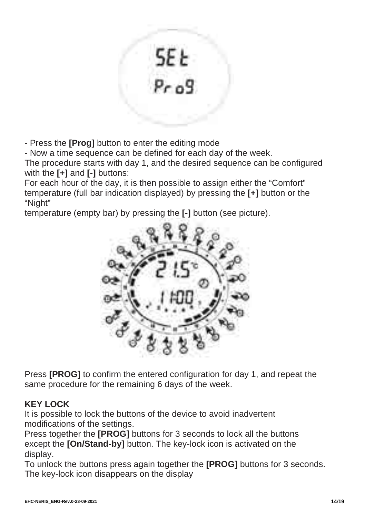

- Press the **[Prog]** button to enter the editing mode

- Now a time sequence can be defined for each day of the week.

The procedure starts with day 1, and the desired sequence can be configured with the **[+]** and **[-]** buttons:

For each hour of the day, it is then possible to assign either the "Comfort" temperature (full bar indication displayed) by pressing the **[+]** button or the "Night"

temperature (empty bar) by pressing the **[-]** button (see picture).



Press **[PROG]** to confirm the entered configuration for day 1, and repeat the same procedure for the remaining 6 days of the week.

## **KEY LOCK**

It is possible to lock the buttons of the device to avoid inadvertent modifications of the settings.

Press together the **[PROG]** buttons for 3 seconds to lock all the buttons except the **[On/Stand-by]** button. The key-lock icon is activated on the display.

To unlock the buttons press again together the **[PROG]** buttons for 3 seconds. The key-lock icon disappears on the display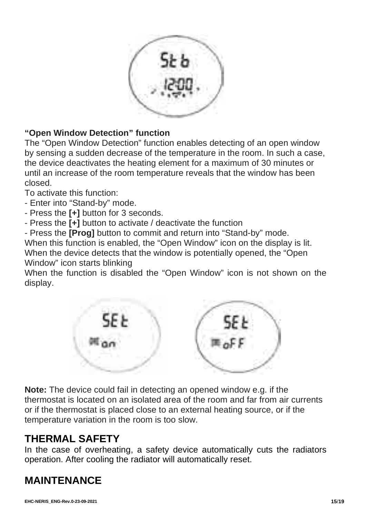

## **"Open Window Detection" function**

The "Open Window Detection" function enables detecting of an open window by sensing a sudden decrease of the temperature in the room. In such a case, the device deactivates the heating element for a maximum of 30 minutes or until an increase of the room temperature reveals that the window has been closed.

To activate this function:

- Enter into "Stand-by" mode.
- Press the **[+]** button for 3 seconds.

- Press the **[+]** button to activate / deactivate the function

- Press the **[Prog]** button to commit and return into "Stand-by" mode.

When this function is enabled, the "Open Window" icon on the display is lit. When the device detects that the window is potentially opened, the "Open Window" icon starts blinking

When the function is disabled the "Open Window" icon is not shown on the display.



**Note:** The device could fail in detecting an opened window e.g. if the thermostat is located on an isolated area of the room and far from air currents or if the thermostat is placed close to an external heating source, or if the temperature variation in the room is too slow.

## **THERMAL SAFETY**

In the case of overheating, a safety device automatically cuts the radiators operation. After cooling the radiator will automatically reset.

## **MAINTENANCE**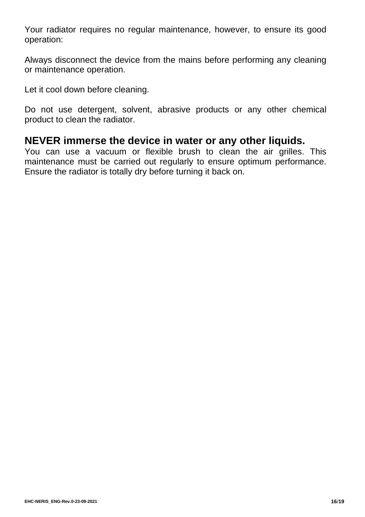Your radiator requires no regular maintenance, however, to ensure its good operation:

Always disconnect the device from the mains before performing any cleaning or maintenance operation.

Let it cool down before cleaning.

Do not use detergent, solvent, abrasive products or any other chemical product to clean the radiator.

## **NEVER immerse the device in water or any other liquids.**

You can use a vacuum or flexible brush to clean the air grilles. This maintenance must be carried out regularly to ensure optimum performance. Ensure the radiator is totally dry before turning it back on.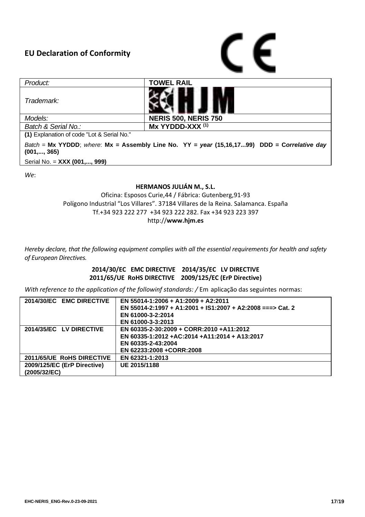#### **EU Declaration of Conformity**



| Product:                                                                                                      | <b>TOWEL RAIL</b>           |  |  |
|---------------------------------------------------------------------------------------------------------------|-----------------------------|--|--|
| Trademark:                                                                                                    |                             |  |  |
| Models:                                                                                                       | <b>NERIS 500, NERIS 750</b> |  |  |
| Batch & Serial No.:                                                                                           | Mx YYDDD-XXX <sup>(1)</sup> |  |  |
| (1) Explanation of code "Lot & Serial No."                                                                    |                             |  |  |
| Batch = Mx YYDDD; where: Mx = Assembly Line No. YY = year $(15,16,1799)$ DDD = Correlative day<br>(001,, 365) |                             |  |  |
| Serial No. = XXX (001,, 999)                                                                                  |                             |  |  |

*We*:

#### **HERMANOS JULIÁN M., S.L.**

Oficina: Esposos Curie,44 / Fábrica: Gutenberg,91-93 Polígono Industrial "Los Villares". 37184 Villares de la Reina. Salamanca. España Tf.+34 923 222 277 +34 923 222 282. Fax +34 923 223 397 http://**www.hjm.es**

*Hereby declare, that the following equipment complies with all the essential requirements for health and safety of European Directives.*

> **2014/30/EC EMC DIRECTIVE 2014/35/EC LV DIRECTIVE 2011/65/UE RoHS DIRECTIVE 2009/125/EC (ErP Directive)**

*With reference to the application of the followinf standards:* / Em aplicação das seguintes normas:

| 2014/30/EC EMC DIRECTIVE    | EN 55014-1:2006 + A1:2009 + A2:2011                        |
|-----------------------------|------------------------------------------------------------|
|                             | EN 55014-2:1997 + A1:2001 + IS1:2007 + A2:2008 ===> Cat. 2 |
|                             | EN 61000-3-2:2014                                          |
|                             | EN 61000-3-3:2013                                          |
| 2014/35/EC LV DIRECTIVE     | EN 60335-2-30:2009 + CORR:2010 +A11:2012                   |
|                             | EN 60335-1:2012 +AC:2014 +A11:2014 + A13:2017              |
|                             | EN 60335-2-43:2004                                         |
|                             | EN 62233:2008 +CORR:2008                                   |
| 2011/65/UE RoHS DIRECTIVE   | EN 62321-1:2013                                            |
| 2009/125/EC (ErP Directive) | UE 2015/1188                                               |
| (2005/32/EC)                |                                                            |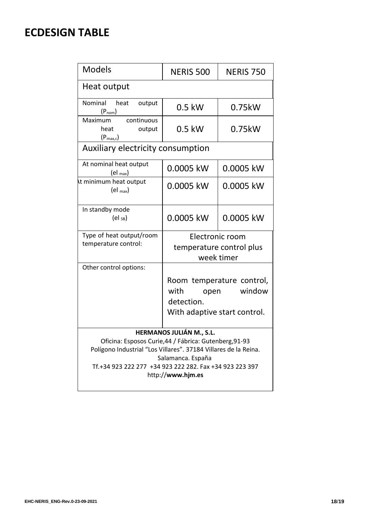## **ECDESIGN TABLE**

| <b>Models</b>                                                                                                                                                                                                                                              | NERIS 500                                                                                         | <b>NFRIS 750</b> |  |  |
|------------------------------------------------------------------------------------------------------------------------------------------------------------------------------------------------------------------------------------------------------------|---------------------------------------------------------------------------------------------------|------------------|--|--|
| Heat output                                                                                                                                                                                                                                                |                                                                                                   |                  |  |  |
| Nominal<br>heat<br>output<br>$(P_{nom})$                                                                                                                                                                                                                   | $0.5$ kW                                                                                          | 0.75kW           |  |  |
| continuous<br>Maximum<br>heat<br>output<br>$(P_{\text{max.c}})$                                                                                                                                                                                            | $0.5$ kW                                                                                          | 0.75kW           |  |  |
| Auxiliary electricity consumption                                                                                                                                                                                                                          |                                                                                                   |                  |  |  |
| At nominal heat output<br>$\left(\text{el max}\right)$                                                                                                                                                                                                     | 0.0005 kW                                                                                         | 0.0005 kW        |  |  |
| At minimum heat output<br>$\left(\text{el }_{\text{max}}\right)$                                                                                                                                                                                           | 0.0005 kW                                                                                         | 0.0005 kW        |  |  |
| In standby mode<br>$\left(\mathrm{el}\right)$                                                                                                                                                                                                              | 0.0005 kW                                                                                         | 0.0005 kW        |  |  |
| Type of heat output/room<br>temperature control:                                                                                                                                                                                                           | Electronic room<br>temperature control plus<br>week timer                                         |                  |  |  |
| Other control options:                                                                                                                                                                                                                                     | Room temperature control,<br>window<br>with<br>open<br>detection.<br>With adaptive start control. |                  |  |  |
| HERMANOS JULIÁN M., S.L.<br>Oficina: Esposos Curie, 44 / Fábrica: Gutenberg, 91-93<br>Polígono Industrial "Los Villares". 37184 Villares de la Reina.<br>Salamanca. España<br>Tf.+34 923 222 277 +34 923 222 282. Fax +34 923 223 397<br>http://www.hjm.es |                                                                                                   |                  |  |  |